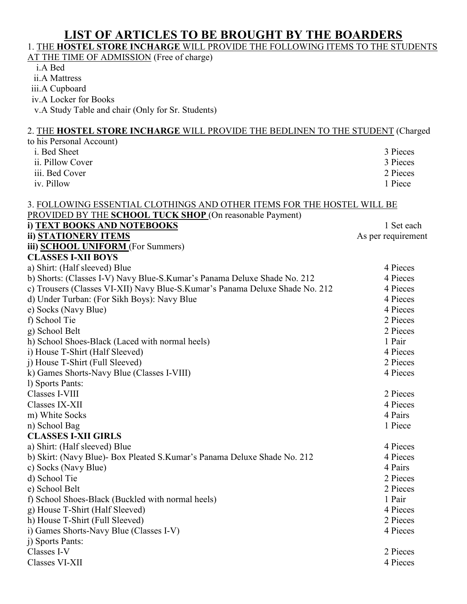# **LIST OF ARTICLES TO BE BROUGHT BY THE BOARDERS**

### 1. THE **HOSTEL STORE INCHARGE** WILL PROVIDE THE FOLLOWING ITEMS TO THE STUDENTS

AT THE TIME OF ADMISSION (Free of charge)

i.A Bed

ii.A Mattress

iii.A Cupboard

iv.A Locker for Books

v.A Study Table and chair (Only for Sr. Students)

### 2. THE **HOSTEL STORE INCHARGE** WILL PROVIDE THE BEDLINEN TO THE STUDENT (Charged to his Personal Account) i. Bed Sheet 3 Pieces ii. Pillow Cover 3 Pieces 3 Pieces 3 Pieces 3 Pieces 3 Pieces 3 Pieces 3 Pieces 3 Pieces 3 Pieces 3 Pieces 3 Pieces 3 Pieces 3 Pieces 3 Pieces 3 Pieces 3 Pieces 3 Pieces 3 Pieces 3 Pieces 3 Pieces 3 Pieces 3 Pieces 3 Piece iii. Bed Cover iv. Pillow 1 Piece 3. FOLLOWING ESSENTIAL CLOTHINGS AND OTHER ITEMS FOR THE HOSTEL WILL BE PROVIDED BY THE **SCHOOL TUCK SHOP** (On reasonable Payment) **i) TEXT BOOKS AND NOTEBOOKS** 1 Set each **ii) STATIONERY ITEMS** As per requirement **iii) SCHOOL UNIFORM** (For Summers) **CLASSES I-XII BOYS**  a) Shirt: (Half sleeved) Blue 4 Pieces b) Shorts: (Classes I-V) Navy Blue-S. Kumar's Panama Deluxe Shade No. 212 4 Pieces c) Trousers (Classes VI-XII) Navy Blue-S. Kumar's Panama Deluxe Shade No. 212 4 Pieces<br>d) Under Turban: (For Sikh Boys): Navy Blue 4 Pieces d) Under Turban: (For Sikh Boys): Navy Blue e) Socks (Navy Blue) 4 Pieces<br>f) School Tie 2 Pieces f) School Tie 2 Pieces g) School Belt 2 Pieces h) School Shoes-Black (Laced with normal heels) 1 Pair i) House T-Shirt (Half Sleeved) 4 Pieces j) House T-Shirt (Full Sleeved) 2 Pieces k) Games Shorts-Navy Blue (Classes I-VIII) 4 Pieces l) Sports Pants: Classes I-VIII 2 Pieces Classes IX-XII 4 Pieces m) White Socks 4 Pairs 4 Pairs 4 Pairs 4 Pairs 4 Pairs 4 Pairs 4 Pairs 4 Pairs 4 Pairs 4 Pairs 4 Pairs 4 Pairs 4 Pairs 4 Pairs 4 Pairs 4 Pairs 4 Pairs 4 Pairs 4 Pairs 4 Pairs 4 Pairs 4 Pairs 4 Pairs 4 Pairs 4 Pairs 4 Pairs n) School Bag 1 Piece **CLASSES I-XII GIRLS**  a) Shirt: (Half sleeved) Blue 4 Pieces b) Skirt: (Navy Blue)- Box Pleated S.Kumar's Panama Deluxe Shade No. 212 4 Pieces c) Socks (Navy Blue) 4 Pairs d) School Tie 2 Pieces e) School Belt 2 Pieces f) School Shoes-Black (Buckled with normal heels) 1 Pair g) House T-Shirt (Half Sleeved) 4 Pieces h) House T-Shirt (Full Sleeved) 2 Pieces i) Games Shorts-Navy Blue (Classes I-V) 4 Pieces j) Sports Pants: Classes I-V 2 Pieces

Classes VI-XII 4 Pieces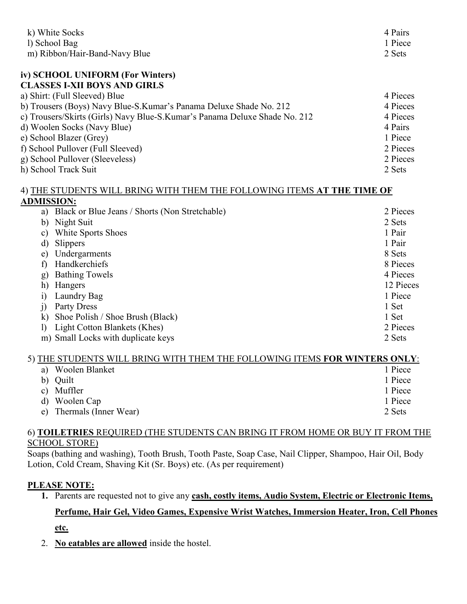| k) White Socks<br>1) School Bag                                            | 4 Pairs<br>1 Piece |
|----------------------------------------------------------------------------|--------------------|
| m) Ribbon/Hair-Band-Navy Blue                                              | 2 Sets             |
| iv) SCHOOL UNIFORM (For Winters)                                           |                    |
| <b>CLASSES I-XII BOYS AND GIRLS</b>                                        |                    |
| a) Shirt: (Full Sleeved) Blue                                              | 4 Pieces           |
| b) Trousers (Boys) Navy Blue-S.Kumar's Panama Deluxe Shade No. 212         | 4 Pieces           |
| c) Trousers/Skirts (Girls) Navy Blue-S.Kumar's Panama Deluxe Shade No. 212 | 4 Pieces           |
| d) Woolen Socks (Navy Blue)                                                | 4 Pairs            |
| e) School Blazer (Grey)                                                    | 1 Piece            |
| f) School Pullover (Full Sleeved)                                          | 2 Pieces           |
| g) School Pullover (Sleeveless)                                            | 2 Pieces           |
| h) School Track Suit                                                       | 2 Sets             |
| 4) THE STUDENTS WILL BRING WITH THEM THE FOLLOWING ITEMS AT THE TIME OF    |                    |
| <b>ADMISSION:</b>                                                          |                    |
| Black or Blue Jeans / Shorts (Non Stretchable)<br>a)                       | 2 Pieces           |
| Night Suit<br>b)                                                           | 2 Sets             |
| White Sports Shoes<br>$\mathbf{c})$                                        | 1 Pair             |
| Slippers<br>d)                                                             | 1 Pair             |
| Undergarments<br>e)                                                        | 8 Sets             |
| Handkerchiefs<br>$\mathbf{f}$                                              | 8 Pieces           |
| <b>Bathing Towels</b><br>g)                                                | 4 Pieces           |
| h)<br>Hangers                                                              | 12 Pieces          |
| Laundry Bag<br>$\ddot{1}$                                                  | 1 Piece            |
| Party Dress<br>j)                                                          | 1 Set              |
| Shoe Polish / Shoe Brush (Black)<br>$\bf k$                                | 1 Set              |
| Light Cotton Blankets (Khes)<br>$\mathbf{I}$                               | 2 Pieces           |
|                                                                            |                    |

### 5) THE STUDENTS WILL BRING WITH THEM THE FOLLOWING ITEMS **FOR WINTERS ONLY**:

| a) | Woolen Blanket        | 1 Piece |
|----|-----------------------|---------|
|    | b) Quilt              | 1 Piece |
|    | c) Muffler            | 1 Piece |
|    | d) Woolen Cap         | 1 Piece |
| e) | Thermals (Inner Wear) | 2 Sets  |

#### 6) **TOILETRIES** REQUIRED (THE STUDENTS CAN BRING IT FROM HOME OR BUY IT FROM THE SCHOOL STORE)

Soaps (bathing and washing), Tooth Brush, Tooth Paste, Soap Case, Nail Clipper, Shampoo, Hair Oil, Body Lotion, Cold Cream, Shaving Kit (Sr. Boys) etc. (As per requirement)

### **PLEASE NOTE:**

**1.** Parents are requested not to give any **cash, costly items, Audio System, Electric or Electronic Items,** 

# **Perfume, Hair Gel, Video Games, Expensive Wrist Watches, Immersion Heater, Iron, Cell Phones**

**etc.**

2. **No eatables are allowed** inside the hostel.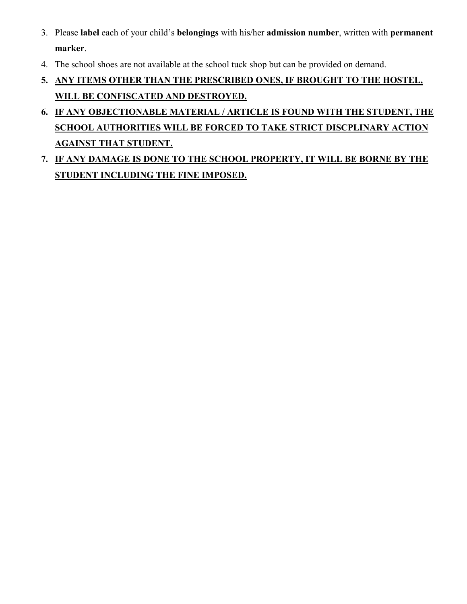- 3. Please **label** each of your child's **belongings** with his/her **admission number**, written with **permanent marker**.
- 4. The school shoes are not available at the school tuck shop but can be provided on demand.
- **5. ANY ITEMS OTHER THAN THE PRESCRIBED ONES, IF BROUGHT TO THE HOSTEL, WILL BE CONFISCATED AND DESTROYED.**
- **6. IF ANY OBJECTIONABLE MATERIAL / ARTICLE IS FOUND WITH THE STUDENT, THE SCHOOL AUTHORITIES WILL BE FORCED TO TAKE STRICT DISCPLINARY ACTION AGAINST THAT STUDENT.**
- **7. IF ANY DAMAGE IS DONE TO THE SCHOOL PROPERTY, IT WILL BE BORNE BY THE STUDENT INCLUDING THE FINE IMPOSED.**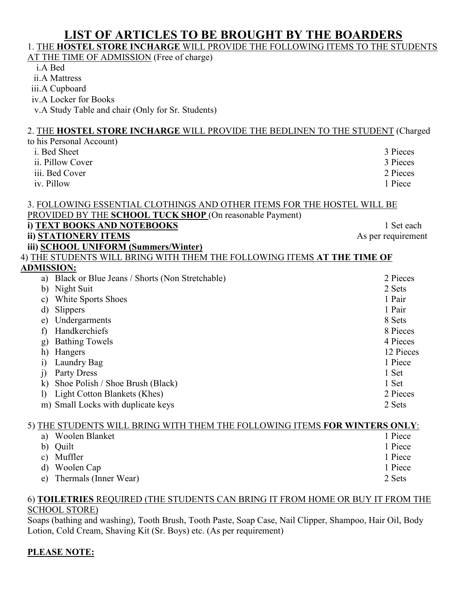# **LIST OF ARTICLES TO BE BROUGHT BY THE BOARDERS**

# 1. THE **HOSTEL STORE INCHARGE** WILL PROVIDE THE FOLLOWING ITEMS TO THE STUDENTS

AT THE TIME OF ADMISSION (Free of charge)

i.A Bed

ii.A Mattress

iii.A Cupboard

iv.A Locker for Books

v.A Study Table and chair (Only for Sr. Students)

## 2. THE **HOSTEL STORE INCHARGE** WILL PROVIDE THE BEDLINEN TO THE STUDENT (Charged

| to his Personal Account)                                                |                    |
|-------------------------------------------------------------------------|--------------------|
| i. Bed Sheet                                                            | 3 Pieces           |
| ii. Pillow Cover                                                        | 3 Pieces           |
| iii. Bed Cover                                                          | 2 Pieces           |
| iv. Pillow                                                              | 1 Piece            |
|                                                                         |                    |
| 3. FOLLOWING ESSENTIAL CLOTHINGS AND OTHER ITEMS FOR THE HOSTEL WILL BE |                    |
| PROVIDED BY THE SCHOOL TUCK SHOP (On reasonable Payment)                |                    |
| i) TEXT BOOKS AND NOTEBOOKS                                             | 1 Set each         |
| ii) STATIONERY ITEMS                                                    | As per requirement |
| iii) SCHOOL UNIFORM (Summers/Winter)                                    |                    |
| 4) THE STUDENTS WILL BRING WITH THEM THE FOLLOWING ITEMS AT THE TIME OF |                    |
| <b>ADMISSION:</b>                                                       |                    |
| Black or Blue Jeans / Shorts (Non Stretchable)<br>a)                    | 2 Pieces           |
| Night Suit<br>b)                                                        | 2 Sets             |
| White Sports Shoes<br>$\mathbf{c})$                                     | 1 Pair             |
| Slippers<br>$\mathbf{d}$                                                | 1 Pair             |
| Undergarments<br>e)                                                     | 8 Sets             |
| Handkerchiefs<br>f                                                      | 8 Pieces           |
| <b>Bathing Towels</b><br>g)                                             | 4 Pieces           |
| h)<br>Hangers                                                           | 12 Pieces          |
| Laundry Bag<br>$\ddot{1}$                                               | 1 Piece            |
| Party Dress<br>j)                                                       | 1 Set              |
| Shoe Polish / Shoe Brush (Black)<br>$\bf k$                             | 1 Set              |
| Light Cotton Blankets (Khes)<br>$\mathbf{I}$                            | 2 Pieces           |
| m) Small Locks with duplicate keys                                      | 2 Sets             |
|                                                                         |                    |

### 5) THE STUDENTS WILL BRING WITH THEM THE FOLLOWING ITEMS **FOR WINTERS ONLY**:

| a) Woolen Blanket        | 1 Piece |
|--------------------------|---------|
| b) Quilt                 | 1 Piece |
| c) Muffler               | 1 Piece |
| d) Woolen Cap            | 1 Piece |
| e) Thermals (Inner Wear) | 2 Sets  |

#### 6) **TOILETRIES** REQUIRED (THE STUDENTS CAN BRING IT FROM HOME OR BUY IT FROM THE SCHOOL STORE)

Soaps (bathing and washing), Tooth Brush, Tooth Paste, Soap Case, Nail Clipper, Shampoo, Hair Oil, Body Lotion, Cold Cream, Shaving Kit (Sr. Boys) etc. (As per requirement)

### **PLEASE NOTE:**